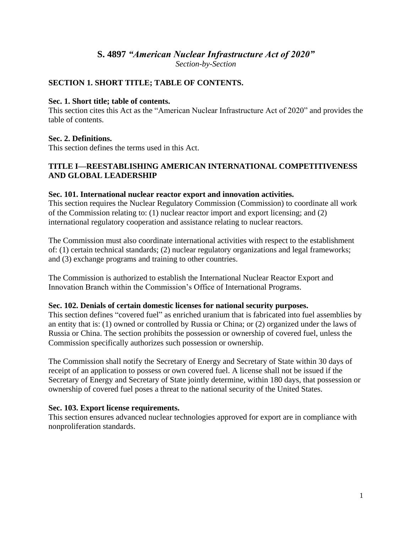# **S. 4897** *"American Nuclear Infrastructure Act of 2020" Section-by-Section*

## **SECTION 1. SHORT TITLE; TABLE OF CONTENTS.**

#### **Sec. 1. Short title; table of contents.**

This section cites this Act as the "American Nuclear Infrastructure Act of 2020" and provides the table of contents.

## **Sec. 2. Definitions.**

This section defines the terms used in this Act.

## **TITLE I—REESTABLISHING AMERICAN INTERNATIONAL COMPETITIVENESS AND GLOBAL LEADERSHIP**

### **Sec. 101. International nuclear reactor export and innovation activities.**

This section requires the Nuclear Regulatory Commission (Commission) to coordinate all work of the Commission relating to: (1) nuclear reactor import and export licensing; and (2) international regulatory cooperation and assistance relating to nuclear reactors.

The Commission must also coordinate international activities with respect to the establishment of: (1) certain technical standards; (2) nuclear regulatory organizations and legal frameworks; and (3) exchange programs and training to other countries.

The Commission is authorized to establish the International Nuclear Reactor Export and Innovation Branch within the Commission's Office of International Programs.

## **Sec. 102. Denials of certain domestic licenses for national security purposes.**

This section defines "covered fuel" as enriched uranium that is fabricated into fuel assemblies by an entity that is: (1) owned or controlled by Russia or China; or (2) organized under the laws of Russia or China. The section prohibits the possession or ownership of covered fuel, unless the Commission specifically authorizes such possession or ownership.

The Commission shall notify the Secretary of Energy and Secretary of State within 30 days of receipt of an application to possess or own covered fuel. A license shall not be issued if the Secretary of Energy and Secretary of State jointly determine, within 180 days, that possession or ownership of covered fuel poses a threat to the national security of the United States.

## **Sec. 103. Export license requirements.**

This section ensures advanced nuclear technologies approved for export are in compliance with nonproliferation standards.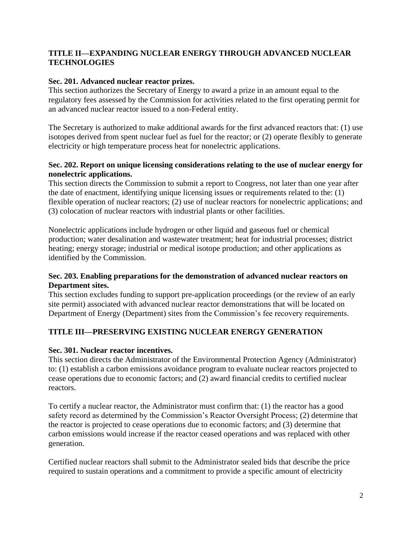## **TITLE II—EXPANDING NUCLEAR ENERGY THROUGH ADVANCED NUCLEAR TECHNOLOGIES**

## **Sec. 201. Advanced nuclear reactor prizes.**

This section authorizes the Secretary of Energy to award a prize in an amount equal to the regulatory fees assessed by the Commission for activities related to the first operating permit for an advanced nuclear reactor issued to a non-Federal entity.

The Secretary is authorized to make additional awards for the first advanced reactors that: (1) use isotopes derived from spent nuclear fuel as fuel for the reactor; or (2) operate flexibly to generate electricity or high temperature process heat for nonelectric applications.

## **Sec. 202. Report on unique licensing considerations relating to the use of nuclear energy for nonelectric applications.**

This section directs the Commission to submit a report to Congress, not later than one year after the date of enactment, identifying unique licensing issues or requirements related to the: (1) flexible operation of nuclear reactors; (2) use of nuclear reactors for nonelectric applications; and (3) colocation of nuclear reactors with industrial plants or other facilities.

Nonelectric applications include hydrogen or other liquid and gaseous fuel or chemical production; water desalination and wastewater treatment; heat for industrial processes; district heating; energy storage; industrial or medical isotope production; and other applications as identified by the Commission.

### **Sec. 203. Enabling preparations for the demonstration of advanced nuclear reactors on Department sites.**

This section excludes funding to support pre-application proceedings (or the review of an early site permit) associated with advanced nuclear reactor demonstrations that will be located on Department of Energy (Department) sites from the Commission's fee recovery requirements.

# **TITLE III—PRESERVING EXISTING NUCLEAR ENERGY GENERATION**

## **Sec. 301. Nuclear reactor incentives.**

This section directs the Administrator of the Environmental Protection Agency (Administrator) to: (1) establish a carbon emissions avoidance program to evaluate nuclear reactors projected to cease operations due to economic factors; and (2) award financial credits to certified nuclear reactors.

To certify a nuclear reactor, the Administrator must confirm that: (1) the reactor has a good safety record as determined by the Commission's Reactor Oversight Process; (2) determine that the reactor is projected to cease operations due to economic factors; and (3) determine that carbon emissions would increase if the reactor ceased operations and was replaced with other generation.

Certified nuclear reactors shall submit to the Administrator sealed bids that describe the price required to sustain operations and a commitment to provide a specific amount of electricity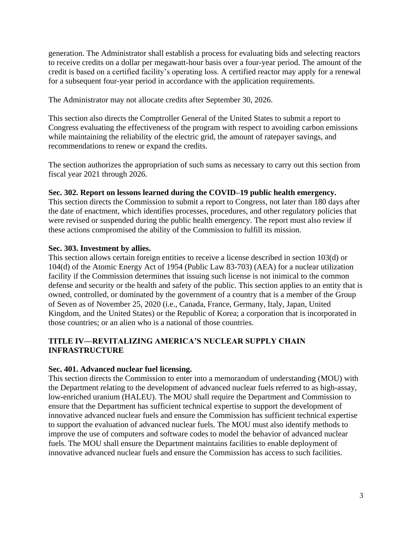generation. The Administrator shall establish a process for evaluating bids and selecting reactors to receive credits on a dollar per megawatt-hour basis over a four-year period. The amount of the credit is based on a certified facility's operating loss. A certified reactor may apply for a renewal for a subsequent four-year period in accordance with the application requirements.

The Administrator may not allocate credits after September 30, 2026.

This section also directs the Comptroller General of the United States to submit a report to Congress evaluating the effectiveness of the program with respect to avoiding carbon emissions while maintaining the reliability of the electric grid, the amount of ratepayer savings, and recommendations to renew or expand the credits.

The section authorizes the appropriation of such sums as necessary to carry out this section from fiscal year 2021 through 2026.

### **Sec. 302. Report on lessons learned during the COVID–19 public health emergency.**

This section directs the Commission to submit a report to Congress, not later than 180 days after the date of enactment, which identifies processes, procedures, and other regulatory policies that were revised or suspended during the public health emergency. The report must also review if these actions compromised the ability of the Commission to fulfill its mission.

### **Sec. 303. Investment by allies.**

This section allows certain foreign entities to receive a license described in section 103(d) or 104(d) of the Atomic Energy Act of 1954 (Public Law 83-703) (AEA) for a nuclear utilization facility if the Commission determines that issuing such license is not inimical to the common defense and security or the health and safety of the public. This section applies to an entity that is owned, controlled, or dominated by the government of a country that is a member of the Group of Seven as of November 25, 2020 (i.e., Canada, France, Germany, Italy, Japan, United Kingdom, and the United States) or the Republic of Korea; a corporation that is incorporated in those countries; or an alien who is a national of those countries.

## **TITLE IV—REVITALIZING AMERICA'S NUCLEAR SUPPLY CHAIN INFRASTRUCTURE**

#### **Sec. 401. Advanced nuclear fuel licensing.**

This section directs the Commission to enter into a memorandum of understanding (MOU) with the Department relating to the development of advanced nuclear fuels referred to as high-assay, low-enriched uranium (HALEU). The MOU shall require the Department and Commission to ensure that the Department has sufficient technical expertise to support the development of innovative advanced nuclear fuels and ensure the Commission has sufficient technical expertise to support the evaluation of advanced nuclear fuels. The MOU must also identify methods to improve the use of computers and software codes to model the behavior of advanced nuclear fuels. The MOU shall ensure the Department maintains facilities to enable deployment of innovative advanced nuclear fuels and ensure the Commission has access to such facilities.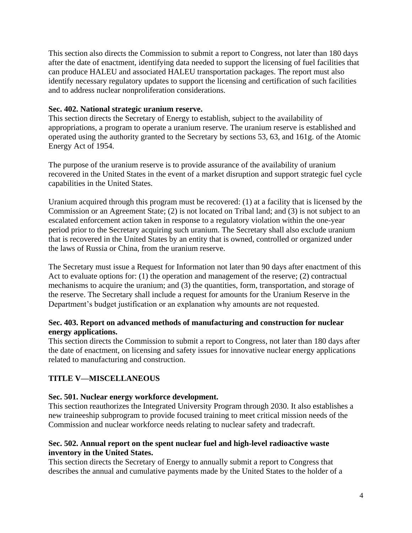This section also directs the Commission to submit a report to Congress, not later than 180 days after the date of enactment, identifying data needed to support the licensing of fuel facilities that can produce HALEU and associated HALEU transportation packages. The report must also identify necessary regulatory updates to support the licensing and certification of such facilities and to address nuclear nonproliferation considerations.

### **Sec. 402. National strategic uranium reserve.**

This section directs the Secretary of Energy to establish, subject to the availability of appropriations, a program to operate a uranium reserve. The uranium reserve is established and operated using the authority granted to the Secretary by sections 53, 63, and 161g. of the Atomic Energy Act of 1954.

The purpose of the uranium reserve is to provide assurance of the availability of uranium recovered in the United States in the event of a market disruption and support strategic fuel cycle capabilities in the United States.

Uranium acquired through this program must be recovered: (1) at a facility that is licensed by the Commission or an Agreement State; (2) is not located on Tribal land; and (3) is not subject to an escalated enforcement action taken in response to a regulatory violation within the one-year period prior to the Secretary acquiring such uranium. The Secretary shall also exclude uranium that is recovered in the United States by an entity that is owned, controlled or organized under the laws of Russia or China, from the uranium reserve.

The Secretary must issue a Request for Information not later than 90 days after enactment of this Act to evaluate options for: (1) the operation and management of the reserve; (2) contractual mechanisms to acquire the uranium; and (3) the quantities, form, transportation, and storage of the reserve. The Secretary shall include a request for amounts for the Uranium Reserve in the Department's budget justification or an explanation why amounts are not requested.

### **Sec. 403. Report on advanced methods of manufacturing and construction for nuclear energy applications.**

This section directs the Commission to submit a report to Congress, not later than 180 days after the date of enactment, on licensing and safety issues for innovative nuclear energy applications related to manufacturing and construction.

## **TITLE V—MISCELLANEOUS**

## **Sec. 501. Nuclear energy workforce development.**

This section reauthorizes the Integrated University Program through 2030. It also establishes a new traineeship subprogram to provide focused training to meet critical mission needs of the Commission and nuclear workforce needs relating to nuclear safety and tradecraft.

### **Sec. 502. Annual report on the spent nuclear fuel and high-level radioactive waste inventory in the United States.**

This section directs the Secretary of Energy to annually submit a report to Congress that describes the annual and cumulative payments made by the United States to the holder of a